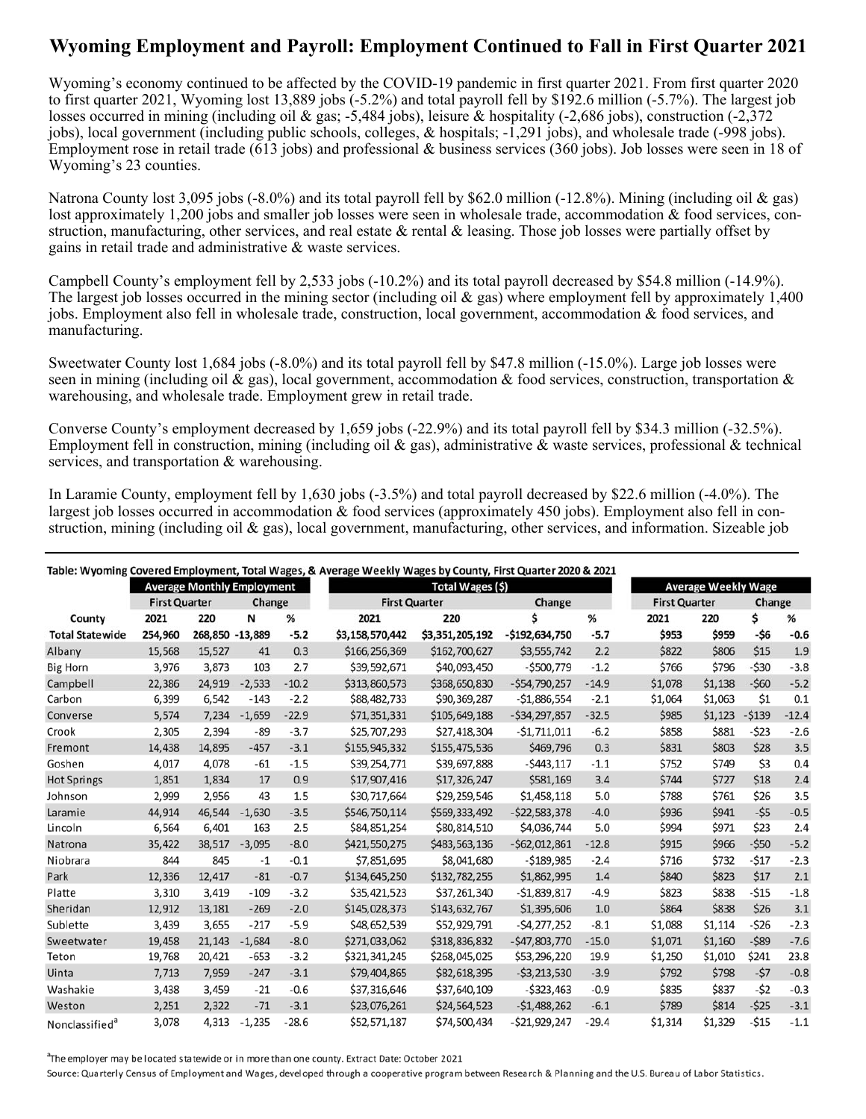## **Wyoming Employment and Payroll: Employment Continued to Fall in First Quarter 2021**

Wyoming's economy continued to be affected by the COVID-19 pandemic in first quarter 2021. From first quarter 2020 to first quarter 2021, Wyoming lost 13,889 jobs (-5.2%) and total payroll fell by \$192.6 million (-5.7%). The largest job losses occurred in mining (including oil & gas; -5,484 jobs), leisure & hospitality (-2,686 jobs), construction (-2,372 jobs), local government (including public schools, colleges, & hospitals; -1,291 jobs), and wholesale trade (-998 jobs). Employment rose in retail trade (613 jobs) and professional & business services (360 jobs). Job losses were seen in 18 of Wyoming's 23 counties.

 Natrona County lost 3,095 jobs (-8.0%) and its total payroll fell by \$62.0 million (-12.8%). Mining (including oil & gas) lost approximately 1,200 jobs and smaller job losses were seen in wholesale trade, accommodation & food services, construction, manufacturing, other services, and real estate & rental & leasing. Those job losses were partially offset by gains in retail trade and administrative & waste services.

Campbell County's employment fell by 2,533 jobs (-10.2%) and its total payroll decreased by \$54.8 million (-14.9%). The largest job losses occurred in the mining sector (including oil & gas) where employment fell by approximately 1,400 jobs. Employment also fell in wholesale trade, construction, local government, accommodation & food services, and manufacturing.

Sweetwater County lost 1,684 jobs (-8.0%) and its total payroll fell by \$47.8 million (-15.0%). Large job losses were seen in mining (including oil & gas), local government, accommodation & food services, construction, transportation & warehousing, and wholesale trade. Employment grew in retail trade.

Converse County's employment decreased by 1,659 jobs (-22.9%) and its total payroll fell by \$34.3 million (-32.5%). Employment fell in construction, mining (including oil  $\&$  gas), administrative  $\&$  waste services, professional  $\&$  technical services, and transportation & warehousing.

In Laramie County, employment fell by 1,630 jobs (-3.5%) and total payroll decreased by \$22.6 million (-4.0%). The largest job losses occurred in accommodation & food services (approximately 450 jobs). Employment also fell in construction, mining (including oil & gas), local government, manufacturing, other services, and information. Sizeable job

|                            |                                   |                 |          |         | Table: Wyoming Covered Employment, Total Wages, & Average Weekly Wages by County, First Quarter 2020 & 2021 |                 |                  |         |         |                            |         |         |  |
|----------------------------|-----------------------------------|-----------------|----------|---------|-------------------------------------------------------------------------------------------------------------|-----------------|------------------|---------|---------|----------------------------|---------|---------|--|
|                            | <b>Average Monthly Employment</b> |                 |          |         | Total Wages (\$)                                                                                            |                 |                  |         |         | <b>Average Weekly Wage</b> |         |         |  |
|                            | <b>First Quarter</b>              |                 | Change   |         | <b>First Quarter</b>                                                                                        |                 | Change           |         |         | <b>First Quarter</b>       |         | Change  |  |
| County                     | 2021                              | 220             | N        | %       | 2021                                                                                                        | 220             | Ś                | %       | 2021    | 220                        | \$      | %       |  |
| <b>Total Statewide</b>     | 254,960                           | 268,850 -13,889 |          | $-5.2$  | \$3,158,570,442                                                                                             | \$3,351,205,192 | $-$192,634,750$  | $-5.7$  | \$953   | \$959                      | -\$6    | $-0.6$  |  |
| Albany                     | 15,568                            | 15,527          | 41       | 0.3     | \$166,256,369                                                                                               | \$162,700,627   | \$3,555,742      | 2.2     | \$822   | \$806                      | \$15    | 1.9     |  |
| <b>Big Horn</b>            | 3,976                             | 3,873           | 103      | 2.7     | \$39,592,671                                                                                                | \$40,093,450    | $-5500,779$      | $-1.2$  | \$766   | \$796                      | $-530$  | $-3.8$  |  |
| Campbell                   | 22,386                            | 24,919          | $-2,533$ | $-10.2$ | \$313,860,573                                                                                               | \$368,650,830   | $-554,790,257$   | $-14.9$ | \$1,078 | \$1,138                    | $-560$  | $-5.2$  |  |
| Carbon                     | 6,399                             | 6,542           | $-143$   | $-2.2$  | \$88,482,733                                                                                                | \$90,369,287    | $-$1,886,554$    | $-2.1$  | \$1,064 | \$1,063                    | \$1     | 0.1     |  |
| Converse                   | 5,574                             | 7,234           | $-1,659$ | $-22.9$ | \$71,351,331                                                                                                | \$105,649,188   | $-534, 297, 857$ | $-32.5$ | \$985   | \$1,123                    | $-5139$ | $-12.4$ |  |
| Crook                      | 2,305                             | 2,394           | -89      | $-3.7$  | \$25,707,293                                                                                                | \$27,418,304    | $-51,711,011$    | $-6.2$  | \$858   | \$881                      | $-523$  | $-2.6$  |  |
| Fremont                    | 14,438                            | 14,895          | $-457$   | $-3.1$  | \$155,945,332                                                                                               | \$155,475,536   | \$469,796        | 0.3     | \$831   | \$803                      | \$28    | 3.5     |  |
| Goshen                     | 4,017                             | 4,078           | -61      | $-1.5$  | \$39,254,771                                                                                                | \$39,697,888    | $-5443,117$      | $-1.1$  | \$752   | \$749                      | \$3     | 0.4     |  |
| <b>Hot Springs</b>         | 1,851                             | 1,834           | 17       | 0.9     | \$17,907,416                                                                                                | \$17,326,247    | \$581,169        | 3.4     | \$744   | \$727                      | \$18    | 2.4     |  |
| Johnson                    | 2,999                             | 2,956           | 43       | 1.5     | \$30,717,664                                                                                                | \$29,259,546    | \$1,458,118      | 5.0     | \$788   | \$761                      | \$26    | 3.5     |  |
| Laramie                    | 44,914                            | 46,544          | $-1,630$ | $-3.5$  | \$546,750,114                                                                                               | \$569,333,492   | $-522,583,378$   | $-4.0$  | \$936   | \$941                      | $-55$   | $-0.5$  |  |
| Lincoln                    | 6,564                             | 6,401           | 163      | 2.5     | \$84,851,254                                                                                                | \$80,814,510    | \$4,036,744      | 5.0     | \$994   | \$971                      | \$23    | 2.4     |  |
| Natrona                    | 35,422                            | 38,517          | $-3.095$ | $-8.0$  | \$421,550,275                                                                                               | \$483,563,136   | $-562,012,861$   | $-12.8$ | \$915   | \$966                      | $-550$  | $-5.2$  |  |
| Niobrara                   | 844                               | 845             | $-1$     | $-0.1$  | \$7,851,695                                                                                                 | \$8,041,680     | $-$189,985$      | $-2.4$  | \$716   | \$732                      | $-517$  | $-2.3$  |  |
| Park                       | 12,336                            | 12,417          | $-81$    | $-0.7$  | \$134,645,250                                                                                               | \$132,782,255   | \$1,862,995      | 1.4     | \$840   | \$823                      | \$17    | 2.1     |  |
| Platte                     | 3,310                             | 3,419           | $-109$   | $-3.2$  | \$35,421,523                                                                                                | \$37,261,340    | $-51,839,817$    | $-4.9$  | \$823   | \$838                      | $-515$  | $-1.8$  |  |
| Sheridan                   | 12,912                            | 13,181          | $-269$   | $-2.0$  | \$145,028,373                                                                                               | \$143,632,767   | \$1,395,606      | 1.0     | \$864   | \$838                      | \$26    | 3.1     |  |
| Sublette                   | 3,439                             | 3,655           | $-217$   | $-5.9$  | \$48,652,539                                                                                                | \$52,929,791    | $-54,277,252$    | $-8.1$  | \$1,088 | \$1,114                    | $-526$  | $-2.3$  |  |
| Sweetwater                 | 19,458                            | 21,143          | $-1.684$ | $-8.0$  | \$271,033,062                                                                                               | \$318,836,832   | $-547,803,770$   | $-15.0$ | \$1,071 | \$1,160                    | $-589$  | $-7.6$  |  |
| Teton                      | 19,768                            | 20,421          | $-653$   | $-3.2$  | \$321,341,245                                                                                               | \$268,045,025   | \$53,296,220     | 19.9    | \$1,250 | \$1,010                    | \$241   | 23.8    |  |
| Uinta                      | 7,713                             | 7,959           | $-247$   | $-3.1$  | \$79,404,865                                                                                                | \$82,618,395    | $-53,213,530$    | $-3.9$  | \$792   | \$798                      | $-57$   | $-0.8$  |  |
| Washakie                   | 3,438                             | 3,459           | $-21$    | $-0.6$  | \$37,316,646                                                                                                | \$37,640,109    | $-5323,463$      | $-0.9$  | \$835   | \$837                      | $-52$   | $-0.3$  |  |
| Weston                     | 2,251                             | 2,322           | $-71$    | $-3.1$  | \$23,076,261                                                                                                | \$24,564,523    | $-51,488,262$    | $-6.1$  | \$789   | \$814                      | $-525$  | $-3.1$  |  |
| Nonclassified <sup>a</sup> | 3,078                             | 4,313           | $-1,235$ | $-28.6$ | \$52,571,187                                                                                                | \$74,500,434    | $-521,929,247$   | $-29.4$ | \$1,314 | \$1,329                    | $-515$  | $-1.1$  |  |

<sup>a</sup>The employer may be located statewide or in more than one county. Extract Date: October 2021

Source: Quarterly Census of Employment and Wages, developed through a cooperative program between Research & Planning and the U.S. Bureau of Labor Statistics.